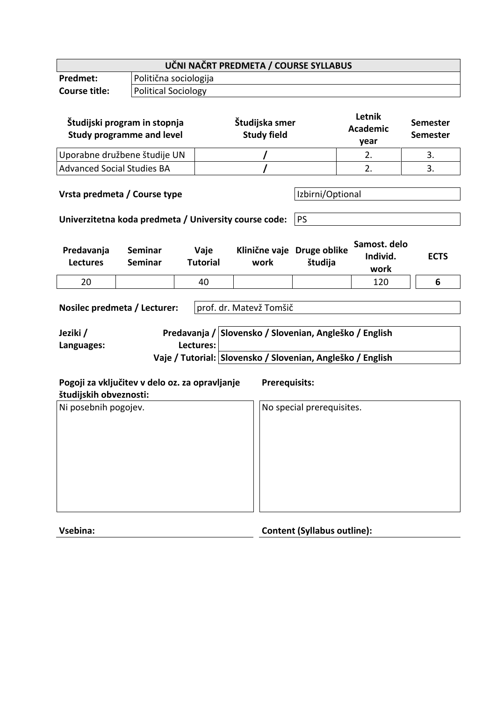| UČNI NAČRT PREDMETA / COURSE SYLLABUS                                                                                                                                                                                  |                                                                                       |                         |                                      |                               |                                   |                                    |  |
|------------------------------------------------------------------------------------------------------------------------------------------------------------------------------------------------------------------------|---------------------------------------------------------------------------------------|-------------------------|--------------------------------------|-------------------------------|-----------------------------------|------------------------------------|--|
| Predmet:                                                                                                                                                                                                               |                                                                                       | Politična sociologija   |                                      |                               |                                   |                                    |  |
| <b>Course title:</b>                                                                                                                                                                                                   | <b>Political Sociology</b>                                                            |                         |                                      |                               |                                   |                                    |  |
| Študijski program in stopnja<br><b>Study programme and level</b>                                                                                                                                                       |                                                                                       |                         | Študijska smer<br><b>Study field</b> |                               | Letnik<br><b>Academic</b><br>year | <b>Semester</b><br><b>Semester</b> |  |
| Uporabne družbene študije UN                                                                                                                                                                                           |                                                                                       |                         |                                      |                               | 2.                                | 3.                                 |  |
| <b>Advanced Social Studies BA</b>                                                                                                                                                                                      |                                                                                       |                         |                                      |                               | 2.                                | 3.                                 |  |
|                                                                                                                                                                                                                        | Vrsta predmeta / Course type<br>Univerzitetna koda predmeta / University course code: |                         |                                      | Izbirni/Optional<br><b>PS</b> |                                   |                                    |  |
| Predavanja<br><b>Lectures</b>                                                                                                                                                                                          | <b>Seminar</b><br><b>Seminar</b>                                                      | Vaje<br><b>Tutorial</b> | Klinične vaje Druge oblike<br>work   | študija                       | Samost. delo<br>Individ.<br>work  | <b>ECTS</b>                        |  |
| 20                                                                                                                                                                                                                     |                                                                                       | 40                      |                                      |                               | 120                               | 6                                  |  |
| Nosilec predmeta / Lecturer:<br>prof. dr. Matevž Tomšič<br>Predavanja / Slovensko / Slovenian, Angleško / English<br>Jeziki /<br>Lectures:<br>Languages:<br>Vaje / Tutorial: Slovensko / Slovenian, Angleško / English |                                                                                       |                         |                                      |                               |                                   |                                    |  |
| Pogoji za vključitev v delo oz. za opravljanje<br><b>Prerequisits:</b><br>študijskih obveznosti:                                                                                                                       |                                                                                       |                         |                                      |                               |                                   |                                    |  |
| Ni posebnih pogojev.                                                                                                                                                                                                   |                                                                                       |                         |                                      | No special prerequisites.     |                                   |                                    |  |

| <b>Content (Syllabus outline):</b><br>Vsebina: |
|------------------------------------------------|
|------------------------------------------------|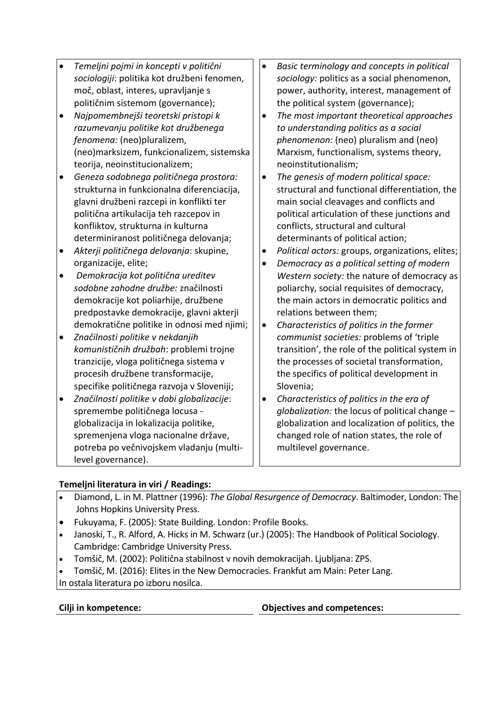- *Temeljni pojmi in koncepti v politični sociologiji*: politika kot družbeni fenomen, moč, oblast, interes, upravljanje s političnim sistemom (governance);
- *Najpomembnejši teoretski pristopi k razumevanju politike kot družbenega fenomena:* (neo)pluralizem, (neo)marksizem, funkcionalizem, sistemska teorija, neoinstitucionalizem;
- *Geneza sodobnega političnega prostora:*  strukturna in funkcionalna diferenciacija, glavni družbeni razcepi in konflikti ter politična artikulacija teh razcepov in konfliktov, strukturna in kulturna determiniranost političnega delovanja;
- *Akterji političnega delovanja*: skupine, organizacije, elite;
- *Demokracija kot politična ureditev sodobne zahodne družbe:* značilnosti demokracije kot poliarhije, družbene predpostavke demokracije, glavni akterji demokratične politike in odnosi med njimi;
- *Značilnosti politike v nekdanjih komunističnih družbah*: problemi trojne tranzicije, vloga političnega sistema v procesih družbene transformacije, specifike političnega razvoja v Sloveniji;
- *Značilnosti politike v dobi globalizacije*: spremembe političnega locusa globalizacija in lokalizacija politike, spremenjena vloga nacionalne države, potreba po večnivojskem vladanju (multilevel governance).
- *Basic terminology and concepts in political sociology:* politics as a social phenomenon, power, authority, interest, management of the political system (governance);
- *The most important theoretical approaches to understanding politics as a social phenomenon:* (neo) pluralism and (neo) Marxism, functionalism, systems theory, neoinstitutionalism;
- *The genesis of modern political space:*  structural and functional differentiation, the main social cleavages and conflicts and political articulation of these junctions and conflicts, structural and cultural determinants of political action;
- *Political actors:* groups, organizations, elites;
- *Democracy as a political setting of modern Western society:* the nature of democracy as poliarchy, social requisites of democracy, the main actors in democratic politics and relations between them;
- *Characteristics of politics in the former communist societies:* problems of 'triple transition', the role of the political system in the processes of societal transformation, the specifics of political development in Slovenia;
- *Characteristics of politics in the era of globalization:* the locus of political change – globalization and localization of politics, the changed role of nation states, the role of multilevel governance.

## **Temeljni literatura in viri / Readings:**

- Diamond, L. in M. Plattner (1996): *The Global Resurgence of Democracy*. Baltimoder, London: The Johns Hopkins University Press.
- Fukuyama, F. (2005): State Building. London: Profile Books.
- Janoski, T., R. Alford, A. Hicks in M. Schwarz (ur.) (2005): The Handbook of Political Sociology. Cambridge: Cambridge University Press.
- Tomšič, M. (2002): Politična stabilnost v novih demokracijah. Ljubljana: ZPS.
- Tomšič, M. (2016): Elites in the New Democracies. Frankfut am Main: Peter Lang.
- In ostala literatura po izboru nosilca.

**Cilji in kompetence: Objectives and competences:**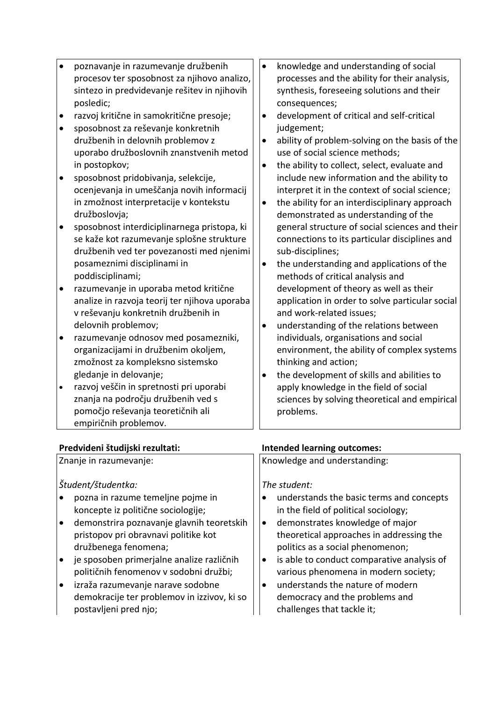| $\bullet$<br>$\bullet$<br>$\bullet$<br>$\bullet$ | poznavanje in razumevanje družbenih<br>procesov ter sposobnost za njihovo analizo,<br>sintezo in predvidevanje rešitev in njihovih<br>posledic;<br>razvoj kritične in samokritične presoje;<br>sposobnost za reševanje konkretnih<br>družbenih in delovnih problemov z<br>uporabo družboslovnih znanstvenih metod<br>in postopkov;<br>sposobnost pridobivanja, selekcije,<br>ocenjevanja in umeščanja novih informacij<br>in zmožnost interpretacije v kontekstu<br>družboslovja;<br>sposobnost interdiciplinarnega pristopa, ki<br>se kaže kot razumevanje splošne strukture<br>družbenih ved ter povezanosti med njenimi<br>posameznimi disciplinami in<br>poddisciplinami;<br>razumevanje in uporaba metod kritične<br>analize in razvoja teorij ter njihova uporaba<br>v reševanju konkretnih družbenih in<br>delovnih problemov;<br>razumevanje odnosov med posamezniki,<br>organizacijami in družbenim okoljem,<br>zmožnost za kompleksno sistemsko | knowledge and understanding of social<br>$\bullet$<br>processes and the ability for their analysis,<br>synthesis, foreseeing solutions and their<br>consequences;<br>development of critical and self-critical<br>$\bullet$<br>judgement;<br>ability of problem-solving on the basis of the<br>$\bullet$<br>use of social science methods;<br>the ability to collect, select, evaluate and<br>$\bullet$<br>include new information and the ability to<br>interpret it in the context of social science;<br>the ability for an interdisciplinary approach<br>$\bullet$<br>demonstrated as understanding of the<br>general structure of social sciences and their<br>connections to its particular disciplines and<br>sub-disciplines;<br>the understanding and applications of the<br>$\bullet$<br>methods of critical analysis and<br>development of theory as well as their<br>application in order to solve particular social<br>and work-related issues;<br>understanding of the relations between<br>individuals, organisations and social<br>environment, the ability of complex systems<br>thinking and action; |
|--------------------------------------------------|-----------------------------------------------------------------------------------------------------------------------------------------------------------------------------------------------------------------------------------------------------------------------------------------------------------------------------------------------------------------------------------------------------------------------------------------------------------------------------------------------------------------------------------------------------------------------------------------------------------------------------------------------------------------------------------------------------------------------------------------------------------------------------------------------------------------------------------------------------------------------------------------------------------------------------------------------------------|-----------------------------------------------------------------------------------------------------------------------------------------------------------------------------------------------------------------------------------------------------------------------------------------------------------------------------------------------------------------------------------------------------------------------------------------------------------------------------------------------------------------------------------------------------------------------------------------------------------------------------------------------------------------------------------------------------------------------------------------------------------------------------------------------------------------------------------------------------------------------------------------------------------------------------------------------------------------------------------------------------------------------------------------------------------------------------------------------------------------------|
|                                                  |                                                                                                                                                                                                                                                                                                                                                                                                                                                                                                                                                                                                                                                                                                                                                                                                                                                                                                                                                           |                                                                                                                                                                                                                                                                                                                                                                                                                                                                                                                                                                                                                                                                                                                                                                                                                                                                                                                                                                                                                                                                                                                       |
|                                                  | gledanje in delovanje;                                                                                                                                                                                                                                                                                                                                                                                                                                                                                                                                                                                                                                                                                                                                                                                                                                                                                                                                    | the development of skills and abilities to                                                                                                                                                                                                                                                                                                                                                                                                                                                                                                                                                                                                                                                                                                                                                                                                                                                                                                                                                                                                                                                                            |
| $\bullet$                                        | razvoj veščin in spretnosti pri uporabi                                                                                                                                                                                                                                                                                                                                                                                                                                                                                                                                                                                                                                                                                                                                                                                                                                                                                                                   | apply knowledge in the field of social                                                                                                                                                                                                                                                                                                                                                                                                                                                                                                                                                                                                                                                                                                                                                                                                                                                                                                                                                                                                                                                                                |
|                                                  | znanja na področju družbenih ved s                                                                                                                                                                                                                                                                                                                                                                                                                                                                                                                                                                                                                                                                                                                                                                                                                                                                                                                        | sciences by solving theoretical and empirical                                                                                                                                                                                                                                                                                                                                                                                                                                                                                                                                                                                                                                                                                                                                                                                                                                                                                                                                                                                                                                                                         |
|                                                  | pomočjo reševanja teoretičnih ali                                                                                                                                                                                                                                                                                                                                                                                                                                                                                                                                                                                                                                                                                                                                                                                                                                                                                                                         | problems.                                                                                                                                                                                                                                                                                                                                                                                                                                                                                                                                                                                                                                                                                                                                                                                                                                                                                                                                                                                                                                                                                                             |
|                                                  | empiričnih problemov.                                                                                                                                                                                                                                                                                                                                                                                                                                                                                                                                                                                                                                                                                                                                                                                                                                                                                                                                     |                                                                                                                                                                                                                                                                                                                                                                                                                                                                                                                                                                                                                                                                                                                                                                                                                                                                                                                                                                                                                                                                                                                       |
|                                                  |                                                                                                                                                                                                                                                                                                                                                                                                                                                                                                                                                                                                                                                                                                                                                                                                                                                                                                                                                           |                                                                                                                                                                                                                                                                                                                                                                                                                                                                                                                                                                                                                                                                                                                                                                                                                                                                                                                                                                                                                                                                                                                       |

## **Predvideni študijski rezultati: Intended learning outcomes:**

Znanje in razumevanje: *Študent/študentka:* pozna in razume temeljne pojme in koncepte iz politične sociologije; demonstrira poznavanje glavnih teoretskih pristopov pri obravnavi politike kot družbenega fenomena; je sposoben primerjalne analize različnih političnih fenomenov v sodobni družbi; izraža razumevanje narave sodobne demokracije ter problemov in izzivov, ki so postavljeni pred njo; Knowledge and understanding: *The student:*  understands the basic terms and concepts in the field of political sociology; demonstrates knowledge of major theoretical approaches in addressing the politics as a social phenomenon;  $\bullet$  is able to conduct comparative analysis of various phenomena in modern society; understands the nature of modern democracy and the problems and challenges that tackle it;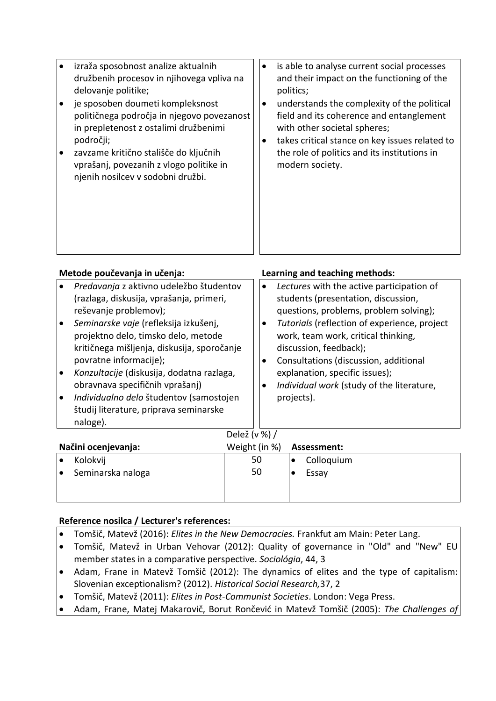| izraža sposobnost analize aktualnih<br>družbenih procesov in njihovega vpliva na<br>delovanje politike;<br>je sposoben doumeti kompleksnost<br>političnega področja in njegovo povezanost<br>in prepletenost z ostalimi družbenimi<br>področji;<br>zavzame kritično stališče do ključnih<br>$\bullet$<br>vprašanj, povezanih z vlogo politike in<br>njenih nosilcev v sodobni družbi. | is able to analyse current social processes<br>$\bullet$<br>and their impact on the functioning of the<br>politics;<br>understands the complexity of the political<br>٠<br>field and its coherence and entanglement<br>with other societal spheres;<br>takes critical stance on key issues related to<br>٠<br>the role of politics and its institutions in<br>modern society. |
|---------------------------------------------------------------------------------------------------------------------------------------------------------------------------------------------------------------------------------------------------------------------------------------------------------------------------------------------------------------------------------------|-------------------------------------------------------------------------------------------------------------------------------------------------------------------------------------------------------------------------------------------------------------------------------------------------------------------------------------------------------------------------------|
|---------------------------------------------------------------------------------------------------------------------------------------------------------------------------------------------------------------------------------------------------------------------------------------------------------------------------------------------------------------------------------------|-------------------------------------------------------------------------------------------------------------------------------------------------------------------------------------------------------------------------------------------------------------------------------------------------------------------------------------------------------------------------------|

| Metode poučevanja in učenja:                                                                                                                                                                                                                                                                                                                                                                                                                                                      |               | Learning and teaching methods: |                                                                                                                                                                                                                                                                                                                                                                                                                       |             |  |  |  |
|-----------------------------------------------------------------------------------------------------------------------------------------------------------------------------------------------------------------------------------------------------------------------------------------------------------------------------------------------------------------------------------------------------------------------------------------------------------------------------------|---------------|--------------------------------|-----------------------------------------------------------------------------------------------------------------------------------------------------------------------------------------------------------------------------------------------------------------------------------------------------------------------------------------------------------------------------------------------------------------------|-------------|--|--|--|
| Predavanja z aktivno udeležbo študentov<br>(razlaga, diskusija, vprašanja, primeri,<br>reševanje problemov);<br>Seminarske vaje (refleksija izkušenj,<br>$\bullet$<br>projektno delo, timsko delo, metode<br>kritičnega mišljenja, diskusija, sporočanje<br>povratne informacije);<br>Konzultacije (diskusija, dodatna razlaga,<br>$\bullet$<br>obravnava specifičnih vprašanj)<br>Individualno delo študentov (samostojen<br>$\bullet$<br>študij literature, priprava seminarske |               |                                | Lectures with the active participation of<br>$\bullet$<br>students (presentation, discussion,<br>questions, problems, problem solving);<br>Tutorials (reflection of experience, project<br>٠<br>work, team work, critical thinking,<br>discussion, feedback);<br>Consultations (discussion, additional<br>٠<br>explanation, specific issues);<br>Individual work (study of the literature,<br>$\bullet$<br>projects). |             |  |  |  |
|                                                                                                                                                                                                                                                                                                                                                                                                                                                                                   | naloge).      |                                |                                                                                                                                                                                                                                                                                                                                                                                                                       |             |  |  |  |
|                                                                                                                                                                                                                                                                                                                                                                                                                                                                                   | Delež (v %) / |                                |                                                                                                                                                                                                                                                                                                                                                                                                                       |             |  |  |  |
| Načini ocenjevanja:                                                                                                                                                                                                                                                                                                                                                                                                                                                               |               | Weight (in %)                  |                                                                                                                                                                                                                                                                                                                                                                                                                       | Assessment: |  |  |  |
|                                                                                                                                                                                                                                                                                                                                                                                                                                                                                   |               |                                |                                                                                                                                                                                                                                                                                                                                                                                                                       |             |  |  |  |

|                   | Kolokvij | 50 | Colloquium |
|-------------------|----------|----|------------|
| Seminarska naloga |          | 50 | Essay      |
|                   |          |    |            |
|                   |          |    |            |

## **Reference nosilca / Lecturer's references:**

- Tomšič, Matevž (2016): *Elites in the New Democracies.* Frankfut am Main: Peter Lang.
- Tomšič, Matevž in Urban Vehovar (2012): Quality of governance in "Old" and "New" EU member states in a comparative perspective. *Sociológia*, 44, 3
- Adam, Frane in Matevž Tomšič (2012): The dynamics of elites and the type of capitalism: Slovenian exceptionalism? (2012). *Historical Social Research,*37, 2
- Tomšič, Matevž (2011): *Elites in Post-Communist Societies*. London: Vega Press.
- Adam, Frane, Matej Makarovič, Borut Rončević in Matevž Tomšič (2005): *The Challenges of*